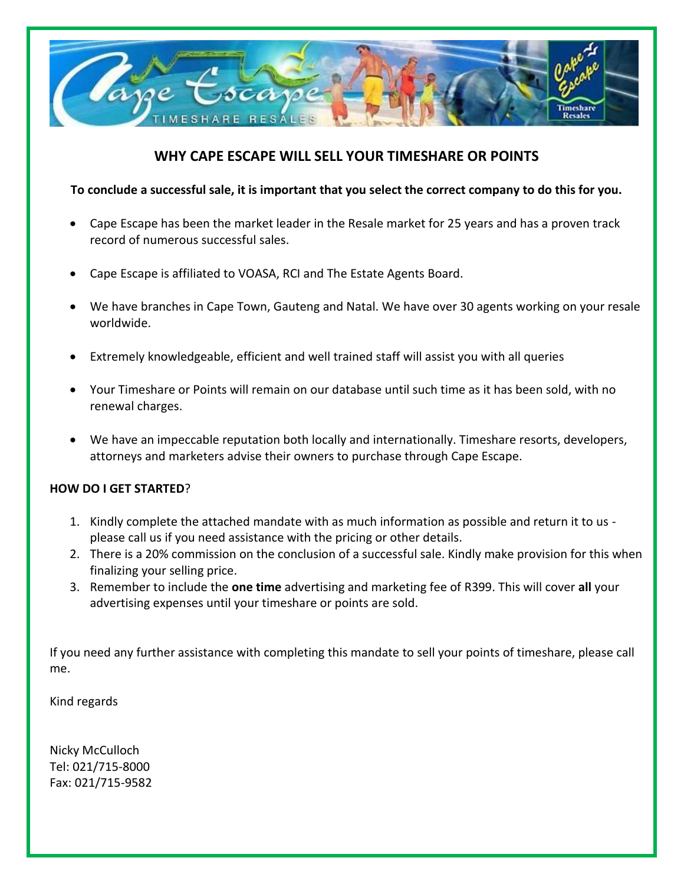

# **WHY CAPE ESCAPE WILL SELL YOUR TIMESHARE OR POINTS**

# **To conclude a successful sale, it is important that you select the correct company to do this for you.**

- Cape Escape has been the market leader in the Resale market for 25 years and has a proven track record of numerous successful sales.
- Cape Escape is affiliated to VOASA, RCI and The Estate Agents Board.
- We have branches in Cape Town, Gauteng and Natal. We have over 30 agents working on your resale worldwide.
- Extremely knowledgeable, efficient and well trained staff will assist you with all queries
- Your Timeshare or Points will remain on our database until such time as it has been sold, with no renewal charges.
- We have an impeccable reputation both locally and internationally. Timeshare resorts, developers, attorneys and marketers advise their owners to purchase through Cape Escape.

### **HOW DO I GET STARTED**?

- 1. Kindly complete the attached mandate with as much information as possible and return it to us please call us if you need assistance with the pricing or other details.
- 2. There is a 20% commission on the conclusion of a successful sale. Kindly make provision for this when finalizing your selling price.
- 3. Remember to include the **one time** advertising and marketing fee of R399. This will cover **all** your advertising expenses until your timeshare or points are sold.

If you need any further assistance with completing this mandate to sell your points of timeshare, please call me.

Kind regards

Nicky McCulloch Tel: 021/715-8000 Fax: 021/715-9582